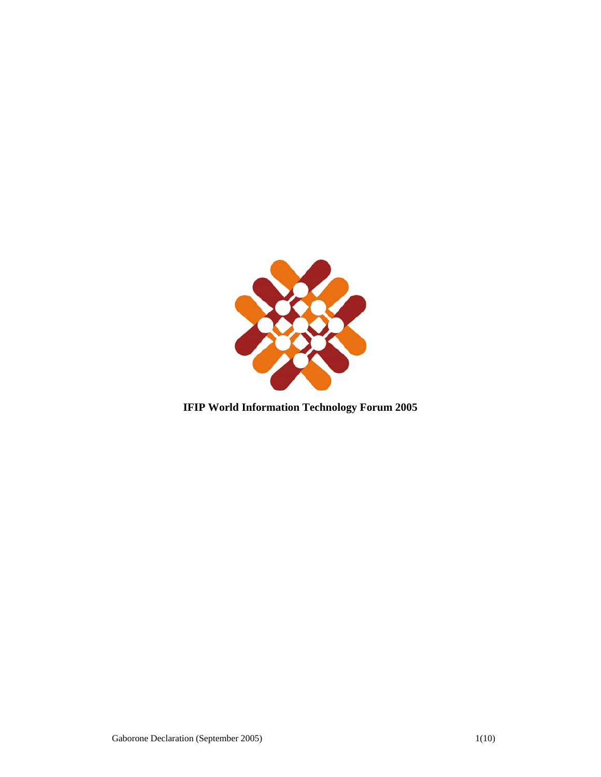

# **IFIP World Information Technology Forum 2005**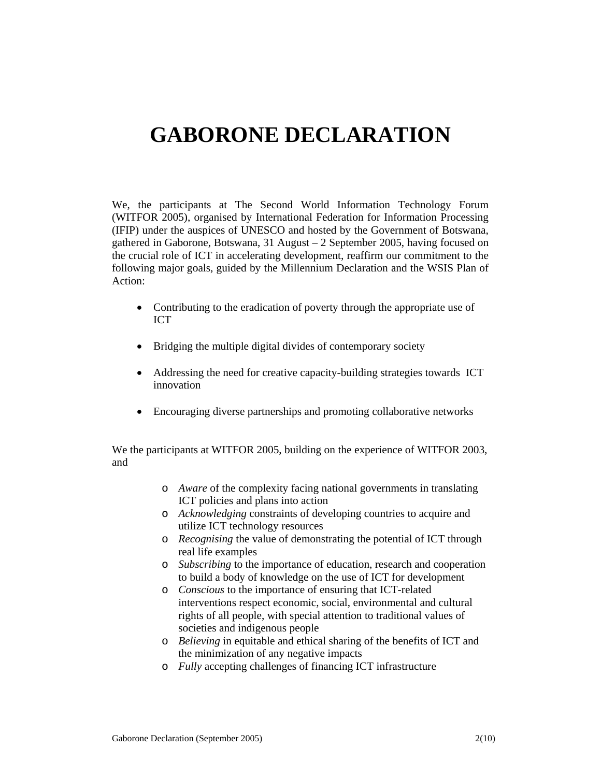# **GABORONE DECLARATION**

We, the participants at The Second World Information Technology Forum (WITFOR 2005), organised by International Federation for Information Processing (IFIP) under the auspices of UNESCO and hosted by the Government of Botswana, gathered in Gaborone, Botswana, 31 August – 2 September 2005, having focused on the crucial role of ICT in accelerating development, reaffirm our commitment to the following major goals, guided by the Millennium Declaration and the WSIS Plan of Action:

- Contributing to the eradication of poverty through the appropriate use of ICT
- Bridging the multiple digital divides of contemporary society
- Addressing the need for creative capacity-building strategies towards ICT innovation
- Encouraging diverse partnerships and promoting collaborative networks

We the participants at WITFOR 2005, building on the experience of WITFOR 2003, and

- o *Aware* of the complexity facing national governments in translating ICT policies and plans into action
- o *Acknowledging* constraints of developing countries to acquire and utilize ICT technology resources
- o *Recognising* the value of demonstrating the potential of ICT through real life examples
- o *Subscribing* to the importance of education, research and cooperation to build a body of knowledge on the use of ICT for development
- o *Conscious* to the importance of ensuring that ICT-related interventions respect economic, social, environmental and cultural rights of all people, with special attention to traditional values of societies and indigenous people
- o *Believing* in equitable and ethical sharing of the benefits of ICT and the minimization of any negative impacts
- o *Fully* accepting challenges of financing ICT infrastructure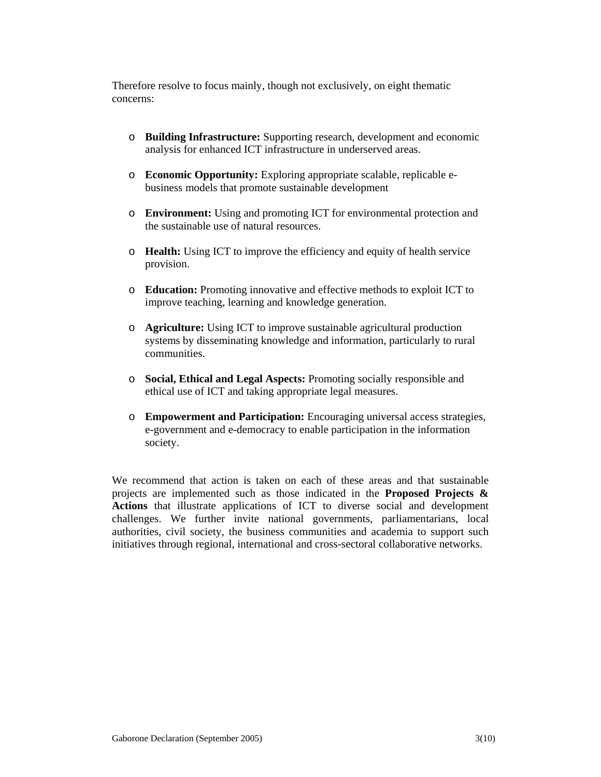Therefore resolve to focus mainly, though not exclusively, on eight thematic concerns:

- o **Building Infrastructure:** Supporting research, development and economic analysis for enhanced ICT infrastructure in underserved areas.
- o **Economic Opportunity:** Exploring appropriate scalable, replicable ebusiness models that promote sustainable development
- o **Environment:** Using and promoting ICT for environmental protection and the sustainable use of natural resources.
- o **Health:** Using ICT to improve the efficiency and equity of health service provision.
- o **Education:** Promoting innovative and effective methods to exploit ICT to improve teaching, learning and knowledge generation.
- o **Agriculture:** Using ICT to improve sustainable agricultural production systems by disseminating knowledge and information, particularly to rural communities.
- o **Social, Ethical and Legal Aspects:** Promoting socially responsible and ethical use of ICT and taking appropriate legal measures.
- o **Empowerment and Participation:** Encouraging universal access strategies, e-government and e-democracy to enable participation in the information society.

We recommend that action is taken on each of these areas and that sustainable projects are implemented such as those indicated in the **Proposed Projects & Actions** that illustrate applications of ICT to diverse social and development challenges. We further invite national governments, parliamentarians, local authorities, civil society, the business communities and academia to support such initiatives through regional, international and cross-sectoral collaborative networks.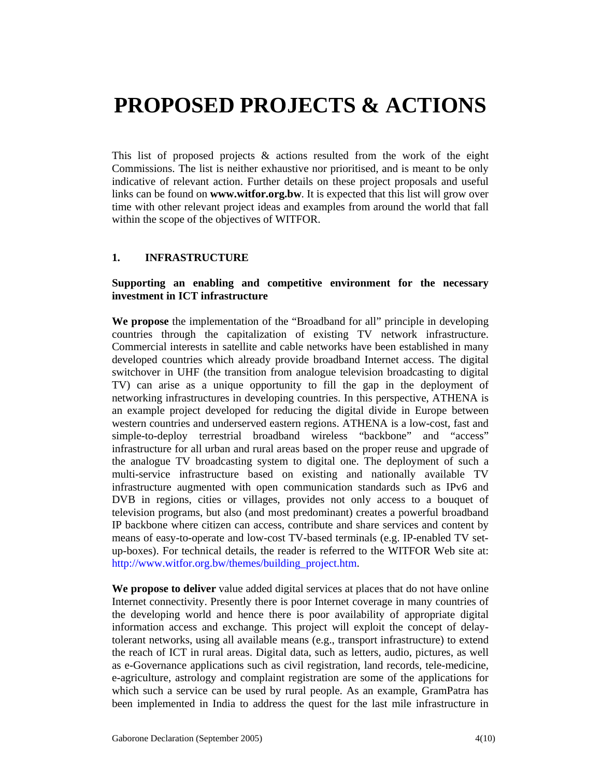# **PROPOSED PROJECTS & ACTIONS**

This list of proposed projects  $\&$  actions resulted from the work of the eight Commissions. The list is neither exhaustive nor prioritised, and is meant to be only indicative of relevant action. Further details on these project proposals and useful links can be found on **www.witfor.org.bw**. It is expected that this list will grow over time with other relevant project ideas and examples from around the world that fall within the scope of the objectives of WITFOR.

#### **1. INFRASTRUCTURE**

#### **Supporting an enabling and competitive environment for the necessary investment in ICT infrastructure**

**We propose** the implementation of the "Broadband for all" principle in developing countries through the capitalization of existing TV network infrastructure. Commercial interests in satellite and cable networks have been established in many developed countries which already provide broadband Internet access. The digital switchover in UHF (the transition from analogue television broadcasting to digital TV) can arise as a unique opportunity to fill the gap in the deployment of networking infrastructures in developing countries. In this perspective, ATHENA is an example project developed for reducing the digital divide in Europe between western countries and underserved eastern regions. ATHENA is a low-cost, fast and simple-to-deploy terrestrial broadband wireless "backbone" and "access" infrastructure for all urban and rural areas based on the proper reuse and upgrade of the analogue TV broadcasting system to digital one. The deployment of such a multi-service infrastructure based on existing and nationally available TV infrastructure augmented with open communication standards such as IPv6 and DVB in regions, cities or villages, provides not only access to a bouquet of television programs, but also (and most predominant) creates a powerful broadband IP backbone where citizen can access, contribute and share services and content by means of easy-to-operate and low-cost TV-based terminals (e.g. IP-enabled TV setup-boxes). For technical details, the reader is referred to the WITFOR Web site at: http://www.witfor.org.bw/themes/building\_project.htm.

**We propose to deliver** value added digital services at places that do not have online Internet connectivity. Presently there is poor Internet coverage in many countries of the developing world and hence there is poor availability of appropriate digital information access and exchange. This project will exploit the concept of delaytolerant networks, using all available means (e.g., transport infrastructure) to extend the reach of ICT in rural areas. Digital data, such as letters, audio, pictures, as well as e-Governance applications such as civil registration, land records, tele-medicine, e-agriculture, astrology and complaint registration are some of the applications for which such a service can be used by rural people. As an example, GramPatra has been implemented in India to address the quest for the last mile infrastructure in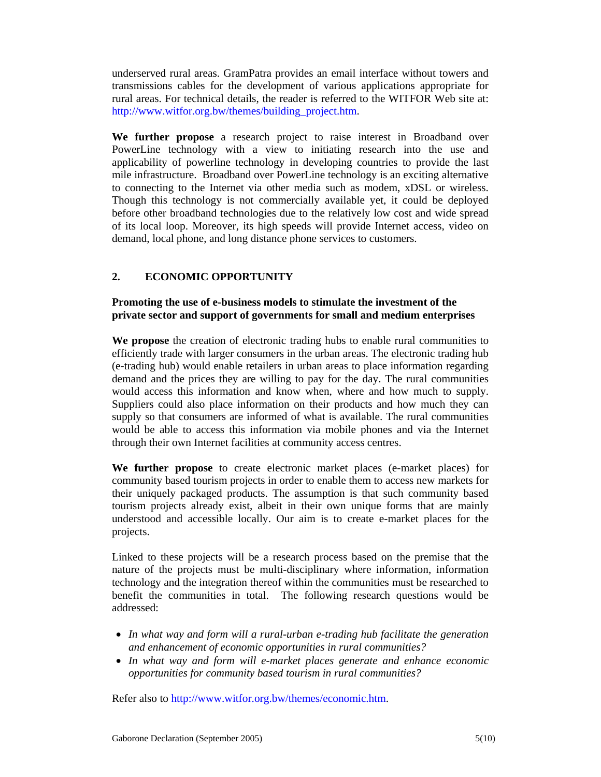underserved rural areas. GramPatra provides an email interface without towers and transmissions cables for the development of various applications appropriate for rural areas. For technical details, the reader is referred to the WITFOR Web site at: http://www.witfor.org.bw/themes/building\_project.htm.

**We further propose** a research project to raise interest in Broadband over PowerLine technology with a view to initiating research into the use and applicability of powerline technology in developing countries to provide the last mile infrastructure. Broadband over PowerLine technology is an exciting alternative to connecting to the Internet via other media such as modem, xDSL or wireless. Though this technology is not commercially available yet, it could be deployed before other broadband technologies due to the relatively low cost and wide spread of its local loop. Moreover, its high speeds will provide Internet access, video on demand, local phone, and long distance phone services to customers.

# **2. ECONOMIC OPPORTUNITY**

#### **Promoting the use of e-business models to stimulate the investment of the private sector and support of governments for small and medium enterprises**

**We propose** the creation of electronic trading hubs to enable rural communities to efficiently trade with larger consumers in the urban areas. The electronic trading hub (e-trading hub) would enable retailers in urban areas to place information regarding demand and the prices they are willing to pay for the day. The rural communities would access this information and know when, where and how much to supply. Suppliers could also place information on their products and how much they can supply so that consumers are informed of what is available. The rural communities would be able to access this information via mobile phones and via the Internet through their own Internet facilities at community access centres.

**We further propose** to create electronic market places (e-market places) for community based tourism projects in order to enable them to access new markets for their uniquely packaged products. The assumption is that such community based tourism projects already exist, albeit in their own unique forms that are mainly understood and accessible locally. Our aim is to create e-market places for the projects.

Linked to these projects will be a research process based on the premise that the nature of the projects must be multi-disciplinary where information, information technology and the integration thereof within the communities must be researched to benefit the communities in total. The following research questions would be addressed:

- *In what way and form will a rural-urban e-trading hub facilitate the generation and enhancement of economic opportunities in rural communities?*
- *In what way and form will e-market places generate and enhance economic opportunities for community based tourism in rural communities?*

Refer also to http://www.witfor.org.bw/themes/economic.htm.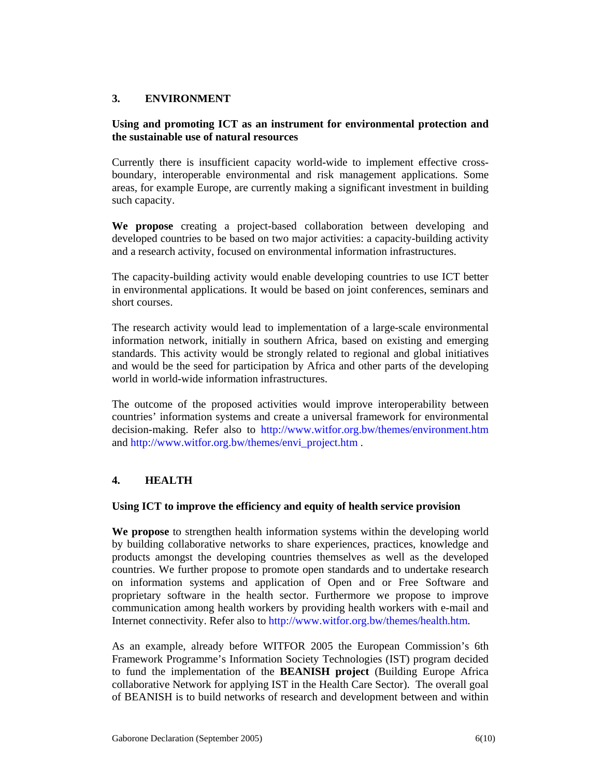# **3. ENVIRONMENT**

#### **Using and promoting ICT as an instrument for environmental protection and the sustainable use of natural resources**

Currently there is insufficient capacity world-wide to implement effective crossboundary, interoperable environmental and risk management applications. Some areas, for example Europe, are currently making a significant investment in building such capacity.

**We propose** creating a project-based collaboration between developing and developed countries to be based on two major activities: a capacity-building activity and a research activity, focused on environmental information infrastructures.

The capacity-building activity would enable developing countries to use ICT better in environmental applications. It would be based on joint conferences, seminars and short courses.

The research activity would lead to implementation of a large-scale environmental information network, initially in southern Africa, based on existing and emerging standards. This activity would be strongly related to regional and global initiatives and would be the seed for participation by Africa and other parts of the developing world in world-wide information infrastructures.

The outcome of the proposed activities would improve interoperability between countries' information systems and create a universal framework for environmental decision-making. Refer also to http://www.witfor.org.bw/themes/environment.htm and http://www.witfor.org.bw/themes/envi\_project.htm .

# **4. HEALTH**

#### **Using ICT to improve the efficiency and equity of health service provision**

**We propose** to strengthen health information systems within the developing world by building collaborative networks to share experiences, practices, knowledge and products amongst the developing countries themselves as well as the developed countries. We further propose to promote open standards and to undertake research on information systems and application of Open and or Free Software and proprietary software in the health sector. Furthermore we propose to improve communication among health workers by providing health workers with e-mail and Internet connectivity. Refer also to http://www.witfor.org.bw/themes/health.htm.

As an example, already before WITFOR 2005 the European Commission's 6th Framework Programme's Information Society Technologies (IST) program decided to fund the implementation of the **BEANISH project** (Building Europe Africa collaborative Network for applying IST in the Health Care Sector). The overall goal of BEANISH is to build networks of research and development between and within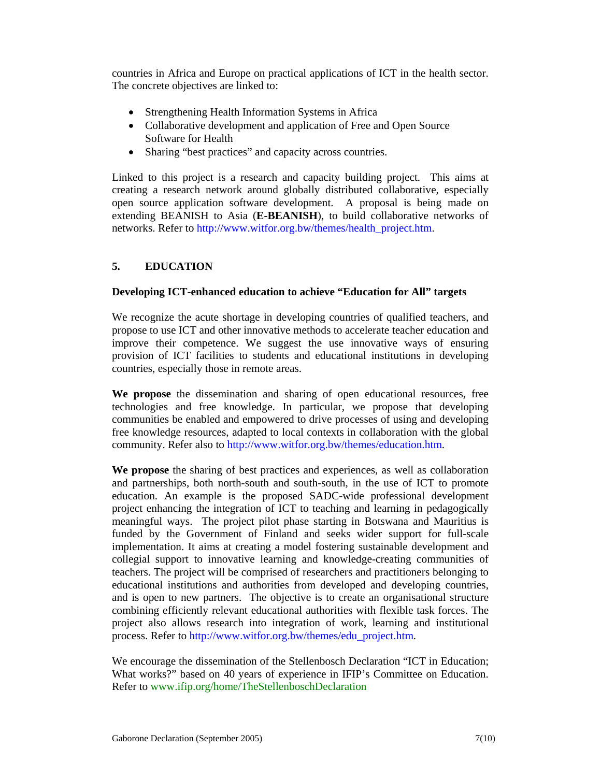countries in Africa and Europe on practical applications of ICT in the health sector. The concrete objectives are linked to:

- Strengthening Health Information Systems in Africa
- Collaborative development and application of Free and Open Source Software for Health
- Sharing "best practices" and capacity across countries.

Linked to this project is a research and capacity building project. This aims at creating a research network around globally distributed collaborative, especially open source application software development. A proposal is being made on extending BEANISH to Asia (**E-BEANISH**), to build collaborative networks of networks. Refer to http://www.witfor.org.bw/themes/health\_project.htm.

# **5. EDUCATION**

## **Developing ICT-enhanced education to achieve "Education for All" targets**

We recognize the acute shortage in developing countries of qualified teachers, and propose to use ICT and other innovative methods to accelerate teacher education and improve their competence. We suggest the use innovative ways of ensuring provision of ICT facilities to students and educational institutions in developing countries, especially those in remote areas.

**We propose** the dissemination and sharing of open educational resources, free technologies and free knowledge. In particular, we propose that developing communities be enabled and empowered to drive processes of using and developing free knowledge resources, adapted to local contexts in collaboration with the global community. Refer also to http://www.witfor.org.bw/themes/education.htm.

**We propose** the sharing of best practices and experiences, as well as collaboration and partnerships, both north-south and south-south, in the use of ICT to promote education. An example is the proposed SADC-wide professional development project enhancing the integration of ICT to teaching and learning in pedagogically meaningful ways. The project pilot phase starting in Botswana and Mauritius is funded by the Government of Finland and seeks wider support for full-scale implementation. It aims at creating a model fostering sustainable development and collegial support to innovative learning and knowledge-creating communities of teachers. The project will be comprised of researchers and practitioners belonging to educational institutions and authorities from developed and developing countries, and is open to new partners. The objective is to create an organisational structure combining efficiently relevant educational authorities with flexible task forces. The project also allows research into integration of work, learning and institutional process. Refer to http://www.witfor.org.bw/themes/edu\_project.htm.

We encourage the dissemination of the Stellenbosch Declaration "ICT in Education; What works?" based on 40 years of experience in IFIP's Committee on Education. Refer to www.ifip.org/home/TheStellenboschDeclaration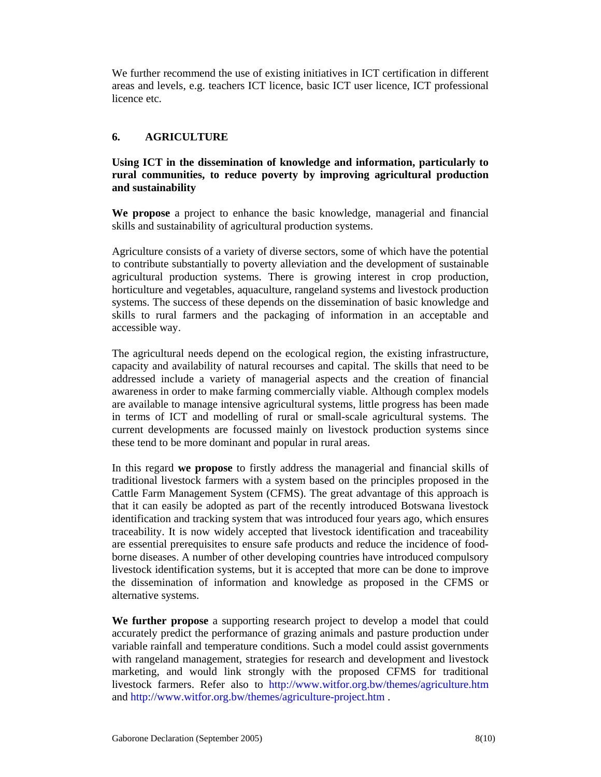We further recommend the use of existing initiatives in ICT certification in different areas and levels, e.g. teachers ICT licence, basic ICT user licence, ICT professional licence etc.

# **6. AGRICULTURE**

### **Using ICT in the dissemination of knowledge and information, particularly to rural communities, to reduce poverty by improving agricultural production and sustainability**

**We propose** a project to enhance the basic knowledge, managerial and financial skills and sustainability of agricultural production systems.

Agriculture consists of a variety of diverse sectors, some of which have the potential to contribute substantially to poverty alleviation and the development of sustainable agricultural production systems. There is growing interest in crop production, horticulture and vegetables, aquaculture, rangeland systems and livestock production systems. The success of these depends on the dissemination of basic knowledge and skills to rural farmers and the packaging of information in an acceptable and accessible way.

The agricultural needs depend on the ecological region, the existing infrastructure, capacity and availability of natural recourses and capital. The skills that need to be addressed include a variety of managerial aspects and the creation of financial awareness in order to make farming commercially viable. Although complex models are available to manage intensive agricultural systems, little progress has been made in terms of ICT and modelling of rural or small-scale agricultural systems. The current developments are focussed mainly on livestock production systems since these tend to be more dominant and popular in rural areas.

In this regard **we propose** to firstly address the managerial and financial skills of traditional livestock farmers with a system based on the principles proposed in the Cattle Farm Management System (CFMS). The great advantage of this approach is that it can easily be adopted as part of the recently introduced Botswana livestock identification and tracking system that was introduced four years ago, which ensures traceability. It is now widely accepted that livestock identification and traceability are essential prerequisites to ensure safe products and reduce the incidence of foodborne diseases. A number of other developing countries have introduced compulsory livestock identification systems, but it is accepted that more can be done to improve the dissemination of information and knowledge as proposed in the CFMS or alternative systems.

**We further propose** a supporting research project to develop a model that could accurately predict the performance of grazing animals and pasture production under variable rainfall and temperature conditions. Such a model could assist governments with rangeland management, strategies for research and development and livestock marketing, and would link strongly with the proposed CFMS for traditional livestock farmers. Refer also to http://www.witfor.org.bw/themes/agriculture.htm and http://www.witfor.org.bw/themes/agriculture-project.htm .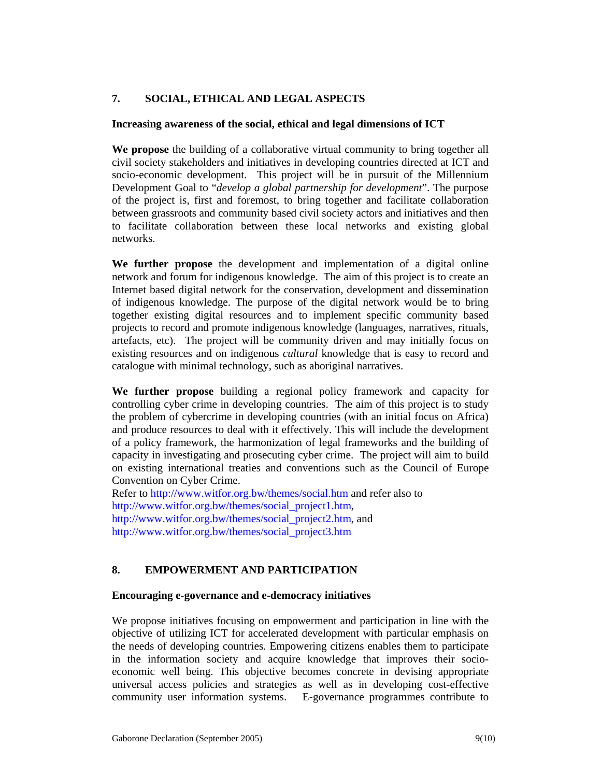# **7. SOCIAL, ETHICAL AND LEGAL ASPECTS**

#### **Increasing awareness of the social, ethical and legal dimensions of ICT**

**We propose** the building of a collaborative virtual community to bring together all civil society stakeholders and initiatives in developing countries directed at ICT and socio-economic development. This project will be in pursuit of the Millennium Development Goal to "*develop a global partnership for development*". The purpose of the project is, first and foremost, to bring together and facilitate collaboration between grassroots and community based civil society actors and initiatives and then to facilitate collaboration between these local networks and existing global networks.

**We further propose** the development and implementation of a digital online network and forum for indigenous knowledge. The aim of this project is to create an Internet based digital network for the conservation, development and dissemination of indigenous knowledge. The purpose of the digital network would be to bring together existing digital resources and to implement specific community based projects to record and promote indigenous knowledge (languages, narratives, rituals, artefacts, etc). The project will be community driven and may initially focus on existing resources and on indigenous *cultural* knowledge that is easy to record and catalogue with minimal technology, such as aboriginal narratives.

**We further propose** building a regional policy framework and capacity for controlling cyber crime in developing countries. The aim of this project is to study the problem of cybercrime in developing countries (with an initial focus on Africa) and produce resources to deal with it effectively. This will include the development of a policy framework, the harmonization of legal frameworks and the building of capacity in investigating and prosecuting cyber crime. The project will aim to build on existing international treaties and conventions such as the Council of Europe Convention on Cyber Crime.

Refer to http://www.witfor.org.bw/themes/social.htm and refer also to http://www.witfor.org.bw/themes/social\_project1.htm, http://www.witfor.org.bw/themes/social\_project2.htm, and http://www.witfor.org.bw/themes/social\_project3.htm

# **8. EMPOWERMENT AND PARTICIPATION**

#### **Encouraging e-governance and e-democracy initiatives**

We propose initiatives focusing on empowerment and participation in line with the objective of utilizing ICT for accelerated development with particular emphasis on the needs of developing countries. Empowering citizens enables them to participate in the information society and acquire knowledge that improves their socioeconomic well being. This objective becomes concrete in devising appropriate universal access policies and strategies as well as in developing cost-effective community user information systems. E-governance programmes contribute to